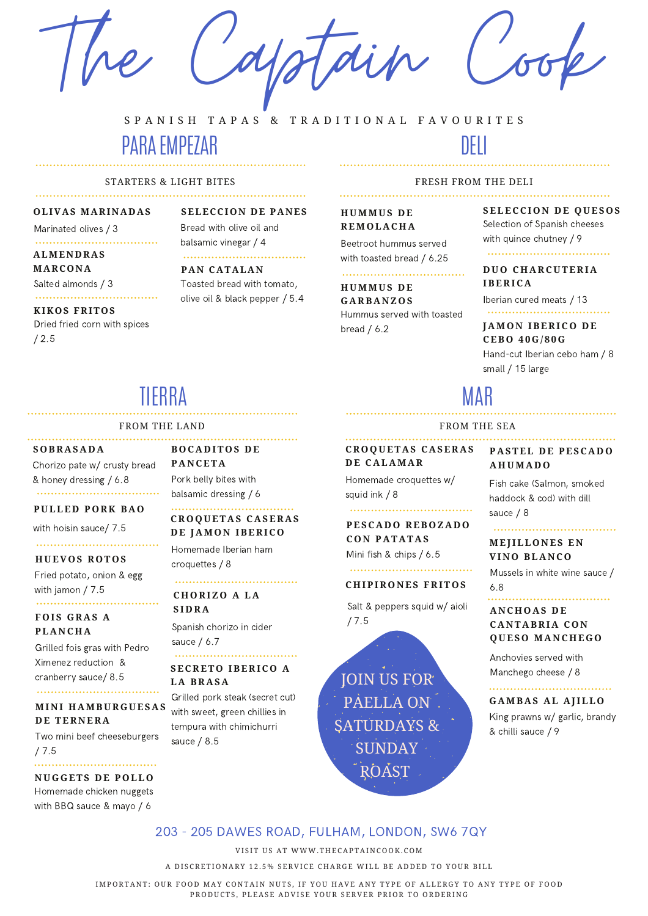The Captain Cook

## S P A N I S H T A P A S & T R A D I T I O N A L F A V O U R I T E S

# PARA EMPEZAR

### STARTERS & LIGHT BITES

## **OLIVAS MARINADAS**

Marinated olives / 3

## **ALMENDRAS MARCONA**

Salted almonds / 3 

## **KIKOS FRITOS**

Dried fried corn with spices / 2.5

### **SELECCION DE PANES** Bread with olive oil and

## balsamic vinegar / 4

## **PAN CATALAN**

Toasted bread with tomato, olive oil & black pepper / 5.4

### FRESH FROM THE DELI

DELI

## **H U M M U S D E R E M O L A C H A**

Beetroot hummus served with toasted bread / 6.25

### 

**H U M M U S D E G A R B A N Z O S** Hummus served with toasted bread / 6.2

## **SELECCI O N D E Q U ES O S**

Selection of Spanish cheeses with quince chutney / 9 ..................................

## **D U O C H A R C U TE R I A**

**IBE R IC A** Iberian cured meats / 13

## 

## **J A M O N IBE R IC O D E CEB O 4 0 G / 8 0 G** Hand-cut Iberian cebo ham / 8 small / 15 large

# MAR

FROM THE SEA

#### **C R O Q U ET A S C A SE R A S P A STEL D E PESC A D O D E C A L A M A R A H U M A D O**

Homemade croquettes w/ squid ink / 8

## 

## **PESC A D O R EB O Z A D O**  $COM$  **PATATAS** Mini fish & chips / 6.5

## **C H I P I R O N ES F R IT O S**

Salt & peppers squid w/ aioli / 7.5

## Fish cake (Salmon, smoked haddock & cod) with dill sauce / 8

## **M EJ ILL O N ES E N VI N O BL A N C O**

Mussels in white wine sauce / 6.8

# **A N C H O A S D E**

## **C A N T A B R I A C O N Q U ES O M A N C H E G O**

Anchovies served with Manchego cheese / 8

### **G A M B A S A L A J ILL O**

King prawns w/ garlic, brandy & chilli sauce / 9

# TIERRA

#### FROM THE LAND

## **S O B R A S A D A**

Chorizo pate w/ crusty bread & honey dressing / 6.8 

## **P U LLE D P O R K B A O**

with hoisin sauce/ 7.5

## 

## $HUEVOS$  **ROTOS**

Fried potato, onion & egg with jamon / 7.5 

## $FOIS GRAS A$ **PL A N C H A**

Grilled fois gras with Pedro Ximenez reduction & cranberry sauce/ 8.5 

## **M I N I H A M B U R G U ES A S DE TERNERA**

Two mini beef cheeseburgers / 7.5

### **N U G G ETS D E P O LL O**

Homemade chicken nuggets with BBQ sauce & mayo / 6

**B O C A D IT O S D E P A N CET A** Pork belly bites with

### balsamic dressing / 6 .................................

## **C R O Q U ET A S C A SE R A S D E J A M O N IBE R IC O**

Homemade Iberian ham croquettes / 8

### **C H O R IZ O A L A S I D R A**

Spanish chorizo in cider sauce / 6.7

### **SEC R ET O IBE R IC O A L A B R A S A**

Grilled pork steak (secret cut) with sweet, green chillies in tempura with chimichurri sauce / 8.5

JOIN US FOR PAELLA ON. SATURDAYS & SUNDAY **ROAST** 

## 203 - 205 DAWES ROAD, FULHAM, LONDON, SW6 7QY

VISIT US AT WWW. THE CAPTAIN COOK, COM

A DISCRETIONARY 12.5% SERVICE CHARGE WILL BE ADDED TO YOUR BILL

IMPORTANT: OUR FOOD MAY CONTAIN NUTS, IF YOU HAVE ANY TYPE OF ALLERGY TO ANY TYPE OF FOOD PRODUCTS, PLEASE ADVISE YOUR SERVER PRIOR TO ORDERING